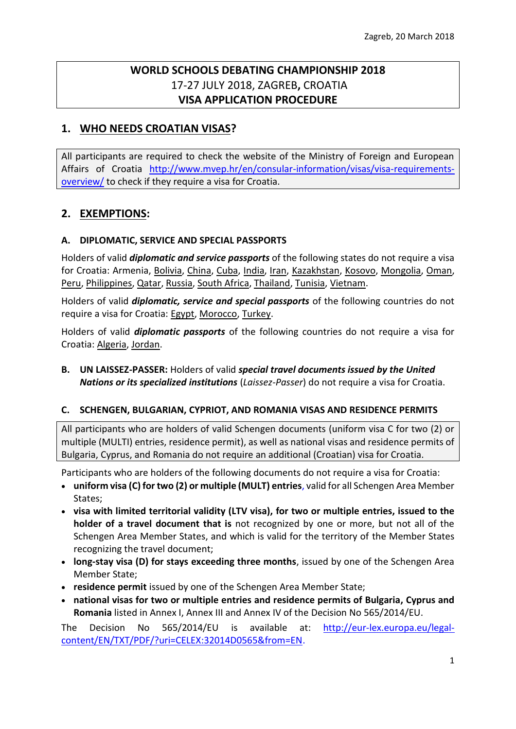# **WORLD SCHOOLS DEBATING CHAMPIONSHIP 2018** 17-27 JULY 2018, ZAGREB**,** CROATIA **VISA APPLICATION PROCEDURE**

# **1. WHO NEEDS CROATIAN VISAS?**

All participants are required to check the website of the Ministry of Foreign and European Affairs of Croatia [http://www.mvep.hr/en/consular-information/visas/visa-requirements](http://www.mvep.hr/en/consular-information/visas/visa-requirements-overview/)[overview/](http://www.mvep.hr/en/consular-information/visas/visa-requirements-overview/) to check if they require a visa for Croatia.

# **2. EXEMPTIONS:**

#### **A. DIPLOMATIC, SERVICE AND SPECIAL PASSPORTS**

Holders of valid *diplomatic and service passports* of the following states do not require a visa for Croatia: Armenia, Bolivia, China, Cuba, India, Iran, Kazakhstan, Kosovo, Mongolia, Oman, Peru, Philippines, Qatar, Russia, South Africa, Thailand, Tunisia, Vietnam.

Holders of valid *diplomatic, service and special passports* of the following countries do not require a visa for Croatia: Egypt, Morocco, Turkey.

Holders of valid *diplomatic passports* of the following countries do not require a visa for Croatia: Algeria, Jordan.

**B. UN LAISSEZ-PASSER:** Holders of valid *special travel documents issued by the United Nations or its specialized institutions* (*Laissez-Passer*) do not require a visa for Croatia.

### **C. SCHENGEN, BULGARIAN, CYPRIOT, AND ROMANIA VISAS AND RESIDENCE PERMITS**

All participants who are holders of valid Schengen documents (uniform visa C for two (2) or multiple (MULTI) entries, residence permit), as well as national visas and residence permits of Bulgaria, Cyprus, and Romania do not require an additional (Croatian) visa for Croatia.

Participants who are holders of the following documents do not require a visa for Croatia:

- **uniform visa (C) for two (2) or multiple (MULT) entries**, valid for all Schengen Area Member States;
- **visa with limited territorial validity (LTV visa), for two or multiple entries, issued to the holder of a travel document that is** not recognized by one or more, but not all of the Schengen Area Member States, and which is valid for the territory of the Member States recognizing the travel document;
- **long-stay visa (D) for stays exceeding three months**, issued by one of the Schengen Area Member State;
- **residence permit** issued by one of the Schengen Area Member State;
- **national visas for two or multiple entries and residence permits of Bulgaria, Cyprus and Romania** listed in Annex I, Annex III and Annex IV of the Decision [No 565/2014/EU.](http://www.mvep.hr/files/file/2014/140724-5652014eu-en.pdf)

The Decision No 565/2014/EU is available at: [http://eur-lex.europa.eu/legal](http://eur-lex.europa.eu/legal-content/EN/TXT/PDF/?uri=CELEX:32014D0565&from=EN)[content/EN/TXT/PDF/?uri=CELEX:32014D0565&from=EN.](http://eur-lex.europa.eu/legal-content/EN/TXT/PDF/?uri=CELEX:32014D0565&from=EN)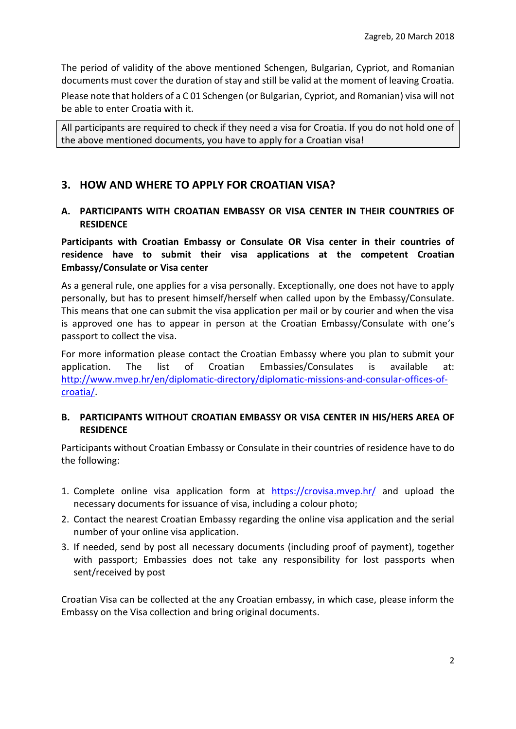The period of validity of the above mentioned Schengen, Bulgarian, Cypriot, and Romanian documents must cover the duration of stay and still be valid at the moment of leaving Croatia.

Please note that holders of a C 01 Schengen (or Bulgarian, Cypriot, and Romanian) visa will not be able to enter Croatia with it.

All participants are required to check if they need a visa for Croatia. If you do not hold one of the above mentioned documents, you have to apply for a Croatian visa!

## **3. HOW AND WHERE TO APPLY FOR CROATIAN VISA?**

#### **A. PARTICIPANTS WITH CROATIAN EMBASSY OR VISA CENTER IN THEIR COUNTRIES OF RESIDENCE**

**Participants with Croatian Embassy or Consulate OR Visa center in their countries of residence have to submit their visa applications at the competent Croatian Embassy/Consulate or Visa center**

As a general rule, one applies for a visa personally. Exceptionally, one does not have to apply personally, but has to present himself/herself when called upon by the Embassy/Consulate. This means that one can submit the visa application per mail or by courier and when the visa is approved one has to appear in person at the Croatian Embassy/Consulate with one's passport to collect the visa.

For more information please contact the Croatian Embassy where you plan to submit your application. The list of Croatian Embassies/Consulates is available at: [http://www.mvep.hr/en/diplomatic-directory/diplomatic-missions-and-consular-offices-of](http://www.mvep.hr/en/diplomatic-directory/diplomatic-missions-and-consular-offices-of-croatia/)[croatia/.](http://www.mvep.hr/en/diplomatic-directory/diplomatic-missions-and-consular-offices-of-croatia/)

### **B. PARTICIPANTS WITHOUT CROATIAN EMBASSY OR VISA CENTER IN HIS/HERS AREA OF RESIDENCE**

Participants without Croatian Embassy or Consulate in their countries of residence have to do the following:

- 1. Complete online visa application form at <https://crovisa.mvep.hr/> and upload the necessary documents for issuance of visa, including a colour photo;
- 2. Contact the nearest Croatian Embassy regarding the online visa application and the serial number of your online visa application.
- 3. If needed, send by post all necessary documents (including proof of payment), together with passport; Embassies does not take any responsibility for lost passports when sent/received by post

Croatian Visa can be collected at the any Croatian embassy, in which case, please inform the Embassy on the Visa collection and bring original documents.